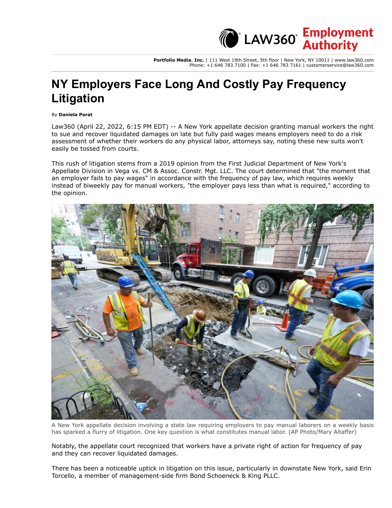**Portfolio Media. Inc.** | 111 West 19th Street, 5th floor | New York, NY 10011 | www.law360.com Phone: +1 646 783 7100 | Fax: +1 646 783 7161 | customerservice@law360.com

**CEMPLA Employment**<br>Authority

## **NY Employers Face Long And Costly Pay Frequency Litigation**

By **Daniela Porat**

Law360 (April 22, 2022, 6:15 PM EDT) -- A New York appellate decision granting manual workers the right to sue and recover liquidated damages on late but fully paid wages means employers need to do a risk assessment of whether their workers do any physical labor, attorneys say, noting these new suits won't easily be tossed from courts.

This rush of litigation stems from a 2019 opinion from the First Judicial Department of New York's Appellate Division in Vega vs. CM & Assoc. Constr. Mgt. LLC. The court determined that "the moment that an employer fails to pay wages" in accordance with the frequency of pay law, which requires weekly instead of biweekly pay for manual workers, "the employer pays less than what is required," according to the opinion.



A New York appellate decision involving a state law requiring employers to pay manual laborers on a weekly basis has sparked a flurry of litigation. One key question is what constitutes manual labor. (AP Photo/Mary Altaffer)

Notably, the appellate court recognized that workers have a private right of action for frequency of pay and they can recover liquidated damages.

There has been a noticeable uptick in litigation on this issue, particularly in downstate New York, said Erin Torcello, a member of management-side firm [Bond Schoeneck & King PLLC](https://www-law360-com.law-ezproxy1.syr.edu/firms/bond-schoeneck).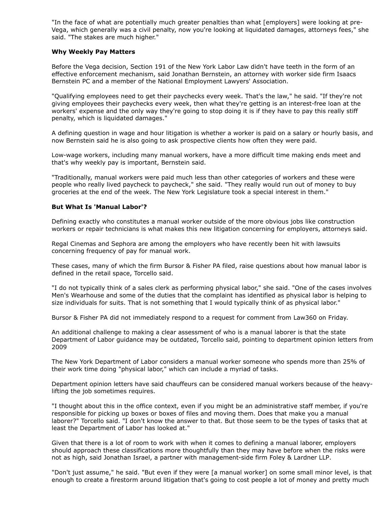"In the face of what are potentially much greater penalties than what [employers] were looking at pre-Vega, which generally was a civil penalty, now you're looking at liquidated damages, attorneys fees," she said. "The stakes are much higher."

## **Why Weekly Pay Matters**

Before the Vega decision, Section 191 of the New York Labor Law didn't have teeth in the form of an effective enforcement mechanism, said Jonathan Bernstein, an attorney with worker side firm Isaacs Bernstein PC and a member of the National Employment Lawyers' Association.

"Qualifying employees need to get their paychecks every week. That's the law," he said. "If they're not giving employees their paychecks every week, then what they're getting is an interest-free loan at the workers' expense and the only way they're going to stop doing it is if they have to pay this really stiff penalty, which is liquidated damages."

A defining question in wage and hour litigation is whether a worker is paid on a salary or hourly basis, and now Bernstein said he is also going to ask prospective clients how often they were paid.

Low-wage workers, including many manual workers, have a more difficult time making ends meet and that's why weekly pay is important, Bernstein said.

"Traditionally, manual workers were paid much less than other categories of workers and these were people who really lived paycheck to paycheck," she said. "They really would run out of money to buy groceries at the end of the week. The New York Legislature took a special interest in them."

## **But What Is 'Manual Labor'?**

Defining exactly who constitutes a manual worker outside of the more obvious jobs like construction workers or repair technicians is what makes this new litigation concerning for employers, attorneys said.

Regal Cinemas and [Sephora](https://www-law360-com.law-ezproxy1.syr.edu/companies/sephora-sa) are among the employers who have recently been hit with lawsuits concerning frequency of pay for manual work.

These cases, many of which the firm [Bursor & Fisher PA](https://www-law360-com.law-ezproxy1.syr.edu/firms/bursor-fisher) filed, raise questions about how manual labor is defined in the retail space, Torcello said.

"I do not typically think of a sales clerk as performing physical labor," she said. "One of the cases involves [Men's Wearhouse](https://www-law360-com.law-ezproxy1.syr.edu/companies/men-s-wearhouse-inc) and some of the duties that the complaint has identified as physical labor is helping to size individuals for suits. That is not something that I would typically think of as physical labor."

Bursor & Fisher PA did not immediately respond to a request for comment from Law360 on Friday.

An additional challenge to making a clear assessment of who is a manual laborer is that the state Department of Labor guidance may be outdated, Torcello said, pointing to department opinion letters from 2009

The [New York Department of Labor](https://www-law360-com.law-ezproxy1.syr.edu/agencies/new-york-state-department-of-labor) considers a manual worker someone who spends more than 25% of their work time doing "physical labor," which can include a myriad of tasks.

Department opinion letters have said chauffeurs can be considered manual workers because of the heavylifting the job sometimes requires.

"I thought about this in the office context, even if you might be an administrative staff member, if you're responsible for picking up boxes or boxes of files and moving them. Does that make you a manual laborer?" Torcello said. "I don't know the answer to that. But those seem to be the types of tasks that at least the Department of Labor has looked at."

Given that there is a lot of room to work with when it comes to defining a manual laborer, employers should approach these classifications more thoughtfully than they may have before when the risks were not as high, said Jonathan Israel, a partner with management-side firm [Foley & Lardner LLP](https://www-law360-com.law-ezproxy1.syr.edu/firms/foley-lardner).

"Don't just assume," he said. "But even if they were [a manual worker] on some small minor level, is that enough to create a firestorm around litigation that's going to cost people a lot of money and pretty much